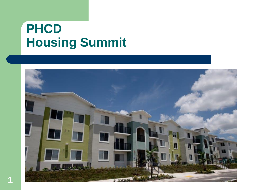# **PHCD Housing Summit**

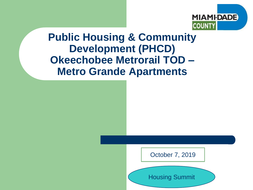

#### **Public Housing & Community Development (PHCD) Okeechobee Metrorail TOD – Metro Grande Apartments**



Housing Summit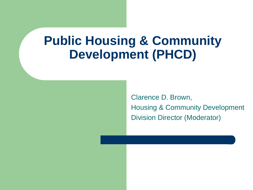## **Public Housing & Community Development (PHCD)**

Clarence D. Brown, Housing & Community Development Division Director (Moderator)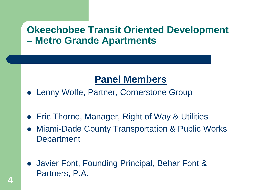#### **Panel Members**

- Lenny Wolfe, Partner, Cornerstone Group
- Eric Thorne, Manager, Right of Way & Utilities
- ⚫ Miami-Dade County Transportation & Public Works **Department**
- Javier Font, Founding Principal, Behar Font & Partners, P.A.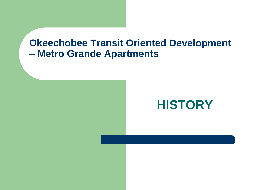### **HISTORY**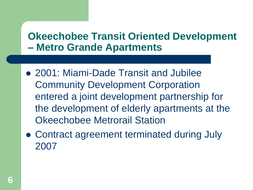- ⚫ 2001: Miami-Dade Transit and Jubilee Community Development Corporation entered a joint development partnership for the development of elderly apartments at the Okeechobee Metrorail Station
- ⚫ Contract agreement terminated during July 2007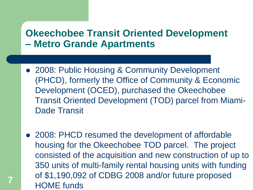- 2008: Public Housing & Community Development (PHCD), formerly the Office of Community & Economic Development (OCED), purchased the Okeechobee Transit Oriented Development (TOD) parcel from Miami-Dade Transit
- 2008: PHCD resumed the development of affordable housing for the Okeechobee TOD parcel. The project consisted of the acquisition and new construction of up to 350 units of multi-family rental housing units with funding of \$1,190,092 of CDBG 2008 and/or future proposed HOME funds **<sup>7</sup>**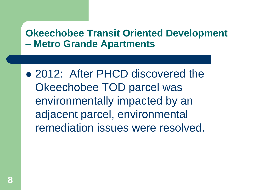● 2012: After PHCD discovered the Okeechobee TOD parcel was environmentally impacted by an adjacent parcel, environmental remediation issues were resolved.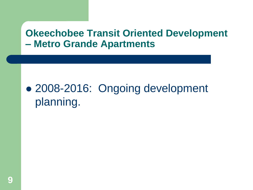## ⚫ 2008-2016: Ongoing development planning.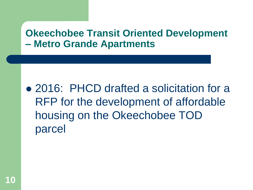⚫ 2016: PHCD drafted a solicitation for a RFP for the development of affordable housing on the Okeechobee TOD parcel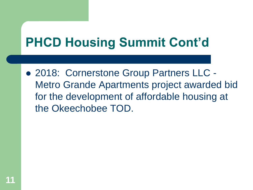# **PHCD Housing Summit Cont'd**

● 2018: Cornerstone Group Partners LLC -Metro Grande Apartments project awarded bid for the development of affordable housing at the Okeechobee TOD.